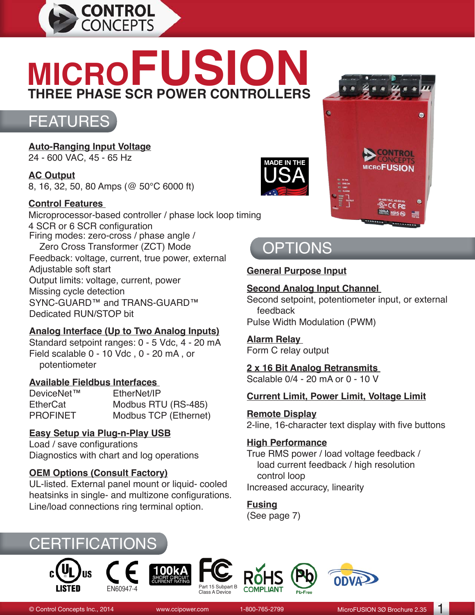

# **MICROFUSION THREE PHASE SCR POWER CONTROLLERS**



**Auto-Ranging Input Voltage** 24 - 600 VAC, 45 - 65 Hz

**AC Output** 8, 16, 32, 50, 80 Amps (@ 50°C 6000 ft)

### **Control Features**

Microprocessor-based controller / phase lock loop timing 4 SCR or 6 SCR configuration Firing modes: zero-cross / phase angle / Zero Cross Transformer (ZCT) Mode Feedback: voltage, current, true power, external Adjustable soft start Output limits: voltage, current, power Missing cycle detection SYNC-GUARD™ and TRANS-GUARD™ Dedicated RUN/STOP bit

### **Analog Interface (Up to Two Analog Inputs)**

Standard setpoint ranges: 0 - 5 Vdc, 4 - 20 mA Field scalable 0 - 10 Vdc , 0 - 20 mA , or potentiometer

#### **Available Fieldbus Interfaces**

DeviceNet™ EtherNet/IP EtherCat Modbus RTU (RS-485)<br>
PROFINFT Modbus TCP (Fthernet) Modbus TCP (Ethernet)

### **Easy Setup via Plug-n-Play USB**

Load / save configurations Diagnostics with chart and log operations

### **OEM Options (Consult Factory)**

UL-listed. External panel mount or liquid- cooled heatsinks in single- and multizone configurations. Line/load connections ring terminal option.





# **OPTIONS**

### **General Purpose Input**

### **Second Analog Input Channel**

Second setpoint, potentiometer input, or external feedback Pulse Width Modulation (PWM)

# **Alarm Relay**

Form C relay output

**2 x 16 Bit Analog Retransmits**  Scalable 0/4 - 20 mA or 0 - 10 V

### **Current Limit, Power Limit, Voltage Limit**

**Remote Display**

2-line, 16-character text display with five buttons

#### **High Performance**

True RMS power / load voltage feedback / load current feedback / high resolution control loop Increased accuracy, linearity

**Fusing** (See page 7)











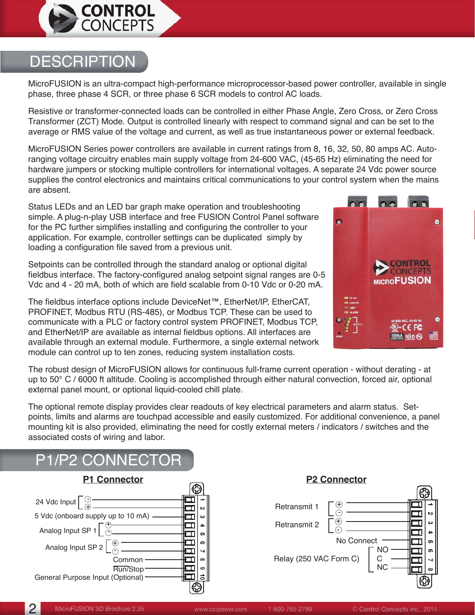

# **DESCRIPTION**

MicroFUSION is an ultra-compact high-performance microprocessor-based power controller, available in single phase, three phase 4 SCR, or three phase 6 SCR models to control AC loads.

Resistive or transformer-connected loads can be controlled in either Phase Angle, Zero Cross, or Zero Cross Transformer (ZCT) Mode. Output is controlled linearly with respect to command signal and can be set to the average or RMS value of the voltage and current, as well as true instantaneous power or external feedback.

MicroFUSION Series power controllers are available in current ratings from 8, 16, 32, 50, 80 amps AC. Autoranging voltage circuitry enables main supply voltage from 24-600 VAC, (45-65 Hz) eliminating the need for hardware jumpers or stocking multiple controllers for international voltages. A separate 24 Vdc power source supplies the control electronics and maintains critical communications to your control system when the mains are absent.

Status LEDs and an LED bar graph make operation and troubleshooting simple. A plug-n-play USB interface and free FUSION Control Panel software for the PC further simplifies installing and configuring the controller to your application. For example, controller settings can be duplicated simply by loading a configuration file saved from a previous unit.

Setpoints can be controlled through the standard analog or optional digital fieldbus interface. The factory-configured analog setpoint signal ranges are 0-5 Vdc and 4 - 20 mA, both of which are field scalable from 0-10 Vdc or 0-20 mA.

The fieldbus interface options include DeviceNet™, EtherNet/IP, EtherCAT, PROFINET, Modbus RTU (RS-485), or Modbus TCP. These can be used to communicate with a PLC or factory control system PROFINET, Modbus TCP, and EtherNet/IP are available as internal fieldbus options. All interfaces are available through an external module. Furthermore, a single external network module can control up to ten zones, reducing system installation costs.



The robust design of MicroFUSION allows for continuous full-frame current operation - without derating - at up to 50° C / 6000 ft altitude. Cooling is accomplished through either natural convection, forced air, optional external panel mount, or optional liquid-cooled chill plate.

The optional remote display provides clear readouts of key electrical parameters and alarm status. Setpoints, limits and alarms are touchpad accessible and easily customized. For additional convenience, a panel mounting kit is also provided, eliminating the need for costly external meters / indicators / switches and the associated costs of wiring and labor.



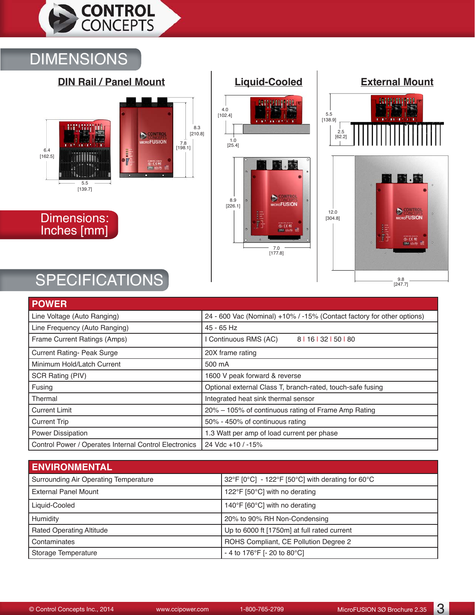

# DIMENSIONS



Dimensions: Inches [mm]





# SPECIFICATIONS

| <b>POWER</b>                                          |                                                                        |
|-------------------------------------------------------|------------------------------------------------------------------------|
| Line Voltage (Auto Ranging)                           | 24 - 600 Vac (Nominal) +10% / -15% (Contact factory for other options) |
| Line Frequency (Auto Ranging)                         | 45 - 65 Hz                                                             |
| Frame Current Ratings (Amps)                          | 8   16   32   50   80<br>Continuous RMS (AC)                           |
| <b>Current Rating- Peak Surge</b>                     | 20X frame rating                                                       |
| Minimum Hold/Latch Current                            | 500 mA                                                                 |
| SCR Rating (PIV)                                      | 1600 V peak forward & reverse                                          |
| Fusing                                                | Optional external Class T, branch-rated, touch-safe fusing             |
| Thermal                                               | Integrated heat sink thermal sensor                                    |
| <b>Current Limit</b>                                  | 20% – 105% of continuous rating of Frame Amp Rating                    |
| <b>Current Trip</b>                                   | 50% - 450% of continuous rating                                        |
| <b>Power Dissipation</b>                              | 1.3 Watt per amp of load current per phase                             |
| Control Power / Operates Internal Control Electronics | 24 Vdc +10 / -15%                                                      |

| <b>ENVIRONMENTAL</b>                  |                                                  |
|---------------------------------------|--------------------------------------------------|
| Surrounding Air Operating Temperature | 32°F [0°C] - 122°F [50°C] with derating for 60°C |
| <b>External Panel Mount</b>           | 122°F [50°C] with no derating                    |
| Liquid-Cooled                         | 140°F [60°C] with no derating                    |
| Humidity                              | 20% to 90% RH Non-Condensing                     |
| <b>Rated Operating Altitude</b>       | Up to 6000 ft [1750m] at full rated current      |
| Contaminates                          | ROHS Compliant, CE Pollution Degree 2            |
| Storage Temperature                   | - 4 to 176°F [- 20 to 80°C]                      |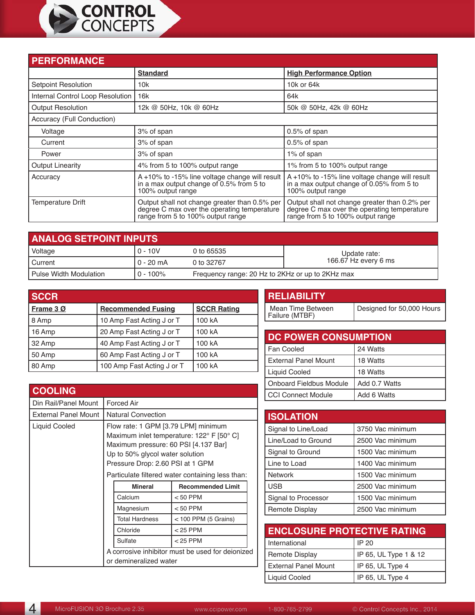

| <b>PERFORMANCE</b>               |                                                                                                                                   |                                                                                                                                   |  |
|----------------------------------|-----------------------------------------------------------------------------------------------------------------------------------|-----------------------------------------------------------------------------------------------------------------------------------|--|
|                                  | <b>Standard</b>                                                                                                                   | <b>High Performance Option</b>                                                                                                    |  |
| <b>Setpoint Resolution</b>       | 10k                                                                                                                               | 10k or 64k                                                                                                                        |  |
| Internal Control Loop Resolution | 16k                                                                                                                               | 64k                                                                                                                               |  |
| <b>Output Resolution</b>         | 12k @ 50Hz, 10k @ 60Hz                                                                                                            | 50k @ 50Hz, 42k @ 60Hz                                                                                                            |  |
| Accuracy (Full Conduction)       |                                                                                                                                   |                                                                                                                                   |  |
| Voltage                          | 3% of span                                                                                                                        | $0.5\%$ of span                                                                                                                   |  |
| Current                          | 3% of span                                                                                                                        | 0.5% of span                                                                                                                      |  |
| Power                            | 3% of span                                                                                                                        | 1% of span                                                                                                                        |  |
| <b>Output Linearity</b>          | 4% from 5 to 100% output range                                                                                                    | 1% from 5 to 100% output range                                                                                                    |  |
| Accuracy                         | A +10% to -15% line voltage change will result<br>in a max output change of 0.5% from 5 to<br>100% output range                   | A +10% to -15% line voltage change will result<br>in a max output change of 0.05% from 5 to<br>100% output range                  |  |
| <b>Temperature Drift</b>         | Output shall not change greater than 0.5% per<br>degree C max over the operating temperature<br>range from 5 to 100% output range | Output shall not change greater than 0.2% per<br>degree C max over the operating temperature<br>range from 5 to 100% output range |  |

| <b>ANALOG SETPOINT INPUTS</b> |             |                                                  |                      |
|-------------------------------|-------------|--------------------------------------------------|----------------------|
| Voltage                       | $0 - 10V$   | 0 to 65535                                       | Update rate:         |
| I Current                     | $0 - 20$ mA | 0 to 32767                                       | 166.67 Hz every 6 ms |
| l Pulse Width Modulation      | $0 - 100\%$ | Frequency range: 20 Hz to 2KHz or up to 2KHz max |                      |

| <b>SCCR</b> |                            |                    |
|-------------|----------------------------|--------------------|
| Frame 3 Ø   | <b>Recommended Fusing</b>  | <b>SCCR Rating</b> |
| 8 Amp       | 10 Amp Fast Acting J or T  | 100 kA             |
| 16 Amp      | 20 Amp Fast Acting J or T  | 100 kA             |
| 32 Amp      | 40 Amp Fast Acting J or T  | 100 kA             |
| 50 Amp      | 60 Amp Fast Acting J or T  | 100 kA             |
| 80 Amp      | 100 Amp Fast Acting J or T | 100 kA             |

| <b>COOLING</b>              |                                                                                                                                                                                                 |         |            |
|-----------------------------|-------------------------------------------------------------------------------------------------------------------------------------------------------------------------------------------------|---------|------------|
| Din Rail/Panel Mount        | <b>Forced Air</b>                                                                                                                                                                               |         |            |
| <b>External Panel Mount</b> | <b>Natural Convection</b>                                                                                                                                                                       |         |            |
| Liquid Cooled               | Flow rate: 1 GPM [3.79 LPM] minimum<br>Maximum inlet temperature: 122° F [50° C]<br>Maximum pressure: 60 PSI [4.137 Bar]<br>Up to 50% glycol water solution<br>Pressure Drop: 2.60 PSI at 1 GPM |         |            |
|                             | Particulate filtered water containing less than:                                                                                                                                                |         |            |
|                             | <b>Mineral</b><br><b>Recommended Limit</b>                                                                                                                                                      |         |            |
|                             | Calcium<br>$< 50$ PPM                                                                                                                                                                           |         |            |
|                             | $< 50$ PPM<br>Magnesium<br><b>Total Hardness</b><br>$<$ 100 PPM (5 Grains)<br>Chloride<br>$<$ 25 PPM                                                                                            |         |            |
|                             |                                                                                                                                                                                                 |         |            |
|                             |                                                                                                                                                                                                 |         |            |
|                             |                                                                                                                                                                                                 | Sulfate | $<$ 25 PPM |
|                             | A corrosive inhibitor must be used for deionized<br>or demineralized water                                                                                                                      |         |            |

| Designed for 50,000 Hours |
|---------------------------|
|                           |

| <b>DC POWER CONSUMPTION</b> |               |  |
|-----------------------------|---------------|--|
| Fan Cooled                  | 24 Watts      |  |
| <b>External Panel Mount</b> | 18 Watts      |  |
| Liquid Cooled               | 18 Watts      |  |
| Onboard Fieldbus Module     | Add 0.7 Watts |  |
| <b>CCI Connect Module</b>   | Add 6 Watts   |  |

| <b>ISOLATION</b>      |                  |
|-----------------------|------------------|
| Signal to Line/Load   | 3750 Vac minimum |
| Line/Load to Ground   | 2500 Vac minimum |
| Signal to Ground      | 1500 Vac minimum |
| Line to Load          | 1400 Vac minimum |
| <b>Network</b>        | 1500 Vac minimum |
| <b>USB</b>            | 2500 Vac minimum |
| Signal to Processor   | 1500 Vac minimum |
| <b>Remote Display</b> | 2500 Vac minimum |

| <b>ENCLOSURE PROTECTIVE RATING</b> |                       |
|------------------------------------|-----------------------|
| International                      | <b>IP 20</b>          |
| <b>Remote Display</b>              | IP 65, UL Type 1 & 12 |
| <b>External Panel Mount</b>        | IP 65, UL Type 4      |
| <b>Liquid Cooled</b>               | IP 65, UL Type 4      |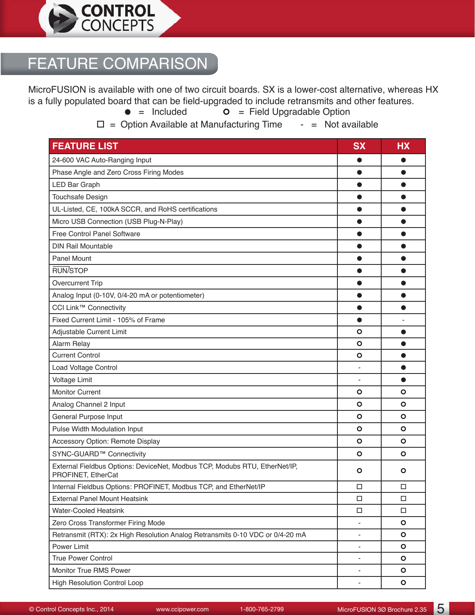

# FEATURE COMPARISON

MicroFUSION is available with one of two circuit boards. SX is a lower-cost alternative, whereas HX is a fully populated board that can be field-upgraded to include retransmits and other features.<br> $\bullet$  = Included  $\bullet$  = Field Upgradable Option

 $\bullet$  = Field Upgradable Option

 $\square$  = Option Available at Manufacturing Time  $\square$  = Not available

| <b>FEATURE LIST</b>                                                                              | <b>SX</b>                | <b>HX</b> |
|--------------------------------------------------------------------------------------------------|--------------------------|-----------|
| 24-600 VAC Auto-Ranging Input                                                                    |                          | 0         |
| Phase Angle and Zero Cross Firing Modes                                                          |                          | $\bullet$ |
| LED Bar Graph                                                                                    | O                        | $\bullet$ |
| Touchsafe Design                                                                                 |                          | 0         |
| UL-Listed, CE, 100kA SCCR, and RoHS certifications                                               | ●                        | 0         |
| Micro USB Connection (USB Plug-N-Play)                                                           | $\bullet$                | 0         |
| Free Control Panel Software                                                                      |                          | 0         |
| <b>DIN Rail Mountable</b>                                                                        |                          | ●         |
| <b>Panel Mount</b>                                                                               | $\bullet$                | $\bullet$ |
| RUN/STOP                                                                                         |                          | ●         |
| <b>Overcurrent Trip</b>                                                                          |                          | ●         |
| Analog Input (0-10V, 0/4-20 mA or potentiometer)                                                 | O                        | $\bullet$ |
| CCI Link™ Connectivity                                                                           |                          |           |
| Fixed Current Limit - 105% of Frame                                                              | ●                        |           |
| Adjustable Current Limit                                                                         | $\circ$                  | $\bullet$ |
| Alarm Relay                                                                                      | O                        | $\bullet$ |
| <b>Current Control</b>                                                                           | $\circ$                  | $\bullet$ |
| Load Voltage Control                                                                             |                          | $\bullet$ |
| Voltage Limit                                                                                    | ÷,                       | $\bullet$ |
| <b>Monitor Current</b>                                                                           | $\circ$                  | $\circ$   |
| Analog Channel 2 Input                                                                           | O                        | $\circ$   |
| General Purpose Input                                                                            | $\circ$                  | $\circ$   |
| Pulse Width Modulation Input                                                                     | $\circ$                  | O         |
| Accessory Option: Remote Display                                                                 | O                        | $\circ$   |
| SYNC-GUARD™ Connectivity                                                                         | $\circ$                  | O         |
| External Fieldbus Options: DeviceNet, Modbus TCP, Modubs RTU, EtherNet/IP,<br>PROFINET, EtherCat | $\circ$                  | $\circ$   |
| Internal Fieldbus Options: PROFINET, Modbus TCP, and EtherNet/IP                                 | $\Box$                   | $\Box$    |
| <b>External Panel Mount Heatsink</b>                                                             | $\Box$                   | □         |
| <b>Water-Cooled Heatsink</b>                                                                     | $\Box$                   | $\Box$    |
| Zero Cross Transformer Firing Mode                                                               |                          | $\circ$   |
| Retransmit (RTX): 2x High Resolution Analog Retransmits 0-10 VDC or 0/4-20 mA                    |                          | $\circ$   |
| Power Limit                                                                                      | $\blacksquare$           | $\circ$   |
| True Power Control                                                                               |                          | $\circ$   |
| Monitor True RMS Power                                                                           | $\overline{\phantom{a}}$ | $\circ$   |
| <b>High Resolution Control Loop</b>                                                              |                          | $\circ$   |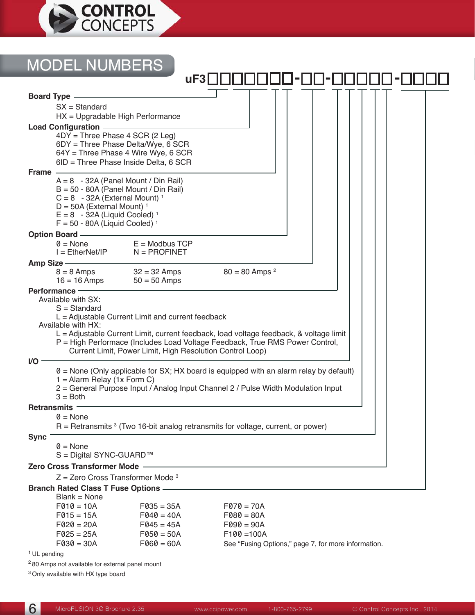

#### **Board Type** SX = Standard HX = Upgradable High Performance **Load Configuration** 4DY = Three Phase 4 SCR (2 Leg) 6DY = Three Phase Delta/Wye, 6 SCR 64Y = Three Phase 4 Wire Wye, 6 SCR 6ID = Three Phase Inside Delta, 6 SCR **Frame**  $A = 8 - 32A$  (Panel Mount / Din Rail)  $B = 50 - 80A$  (Panel Mount / Din Rail)  $C = 8 - 32A$  (External Mount)<sup>1</sup>  $D = 50A$  (External Mount)<sup>1</sup>  $E = 8 - 32A$  (Liquid Cooled)<sup>1</sup>  $F = 50 - 80A$  (Liquid Cooled)<sup>1</sup> **Option Board**  $0 = None$ <br>  $I = EthernetNet/IP$   $N = PROFINET$  $N = PROFINET$ Amp Size  $\frac{8}{6}$  = 8 Amps  $8 = 8$  Amps  $32 = 32$  Amps  $80 = 80$  Amps  $2 = 16$  Amps  $50 = 50$  Amps  $50 = 50$  Amps **Performance** Available with SX: S = Standard  $L =$  Adjustable Current Limit and current feedback Available with HX: L = Adjustable Current Limit, current feedback, load voltage feedback, & voltage limit P = High Performace (Includes Load Voltage Feedback, True RMS Power Control, Current Limit, Power Limit, High Resolution Control Loop) **I/O**  $0 =$  None (Only applicable for SX; HX board is equipped with an alarm relay by default)  $1 =$  Alarm Relay (1x Form C) 2 = General Purpose Input / Analog Input Channel 2 / Pulse Width Modulation Input  $3 =$  Both **Retransmits**  $0 = \text{None}$  $R =$  Retransmits  $3$  (Two 16-bit analog retransmits for voltage, current, or power) **Sync**  $0 = \text{None}$ S = Digital SYNC-GUARD™ **Zero Cross Transformer Mode**  $Z =$  Zero Cross Transformer Mode  $3$ **Branch Rated Class T Fuse Options**  $Blank = None$ MODEL NUMBERS uF3 **□ □ □ □ □ □ □ □ - □ □ - □ □ □ □** □ <del>-</del>

| $F010 = 10A$ | $F035 = 35A$ | $F070 = 70A$                                        |
|--------------|--------------|-----------------------------------------------------|
| $F015 = 15A$ | $F040 = 40A$ | $F080 = 80A$                                        |
| $F020 = 20A$ | $F045 = 45A$ | $F090 = 90A$                                        |
| $F025 = 25A$ | $F050 = 50A$ | $F100 = 100A$                                       |
| $F030 = 30A$ | $F060 = 60A$ | See "Fusing Options," page 7, for more information. |
|              |              |                                                     |

<sup>1</sup> UL pending

2 80 Amps not available for external panel mount

3 Only available with HX type board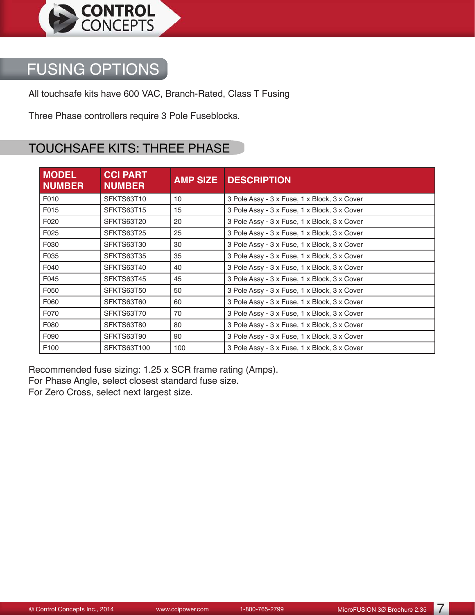

# FUSING OPTIONS

All touchsafe kits have 600 VAC, Branch-Rated, Class T Fusing

Three Phase controllers require 3 Pole Fuseblocks.

### TOUCHSAFE KITS: THREE PHASE

| <b>MODEL</b><br><b>NUMBER</b> | <b>CCI PART</b><br><b>NUMBER</b> | <b>AMP SIZE</b> | <b>DESCRIPTION</b>                           |
|-------------------------------|----------------------------------|-----------------|----------------------------------------------|
| F010                          | SFKTS63T10                       | 10 <sup>1</sup> | 3 Pole Assy - 3 x Fuse, 1 x Block, 3 x Cover |
| F015                          | SFKTS63T15                       | 15              | 3 Pole Assy - 3 x Fuse, 1 x Block, 3 x Cover |
| F020                          | SFKTS63T20                       | 20              | 3 Pole Assy - 3 x Fuse, 1 x Block, 3 x Cover |
| F025                          | SFKTS63T25                       | 25              | 3 Pole Assy - 3 x Fuse, 1 x Block, 3 x Cover |
| F030                          | SFKTS63T30                       | 30              | 3 Pole Assy - 3 x Fuse, 1 x Block, 3 x Cover |
| F035                          | SFKTS63T35                       | 35              | 3 Pole Assy - 3 x Fuse, 1 x Block, 3 x Cover |
| F040                          | SFKTS63T40                       | 40              | 3 Pole Assy - 3 x Fuse, 1 x Block, 3 x Cover |
| F045                          | SFKTS63T45                       | 45              | 3 Pole Assy - 3 x Fuse, 1 x Block, 3 x Cover |
| F050                          | SFKTS63T50                       | 50              | 3 Pole Assy - 3 x Fuse, 1 x Block, 3 x Cover |
| F060                          | SFKTS63T60                       | 60              | 3 Pole Assy - 3 x Fuse, 1 x Block, 3 x Cover |
| F070                          | SFKTS63T70                       | 70              | 3 Pole Assy - 3 x Fuse, 1 x Block, 3 x Cover |
| F080                          | SFKTS63T80                       | 80              | 3 Pole Assy - 3 x Fuse, 1 x Block, 3 x Cover |
| F090                          | SFKTS63T90                       | 90              | 3 Pole Assy - 3 x Fuse, 1 x Block, 3 x Cover |
| F100                          | SFKTS63T100                      | 100             | 3 Pole Assy - 3 x Fuse, 1 x Block, 3 x Cover |

Recommended fuse sizing: 1.25 x SCR frame rating (Amps). For Phase Angle, select closest standard fuse size. For Zero Cross, select next largest size.